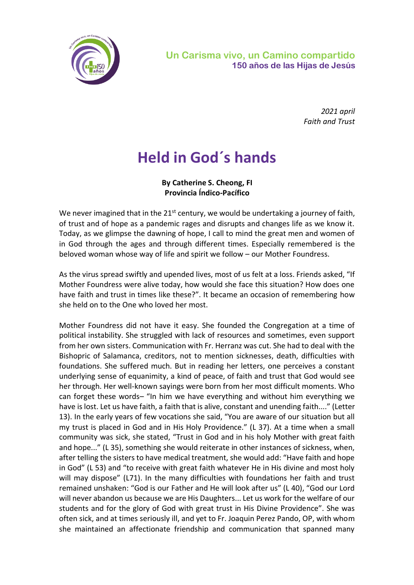

*2021 april Faith and Trust*

## **Held in God´s hands**

**By Catherine S. Cheong, FI Provincia Índico-Pacífico**

We never imagined that in the 21<sup>st</sup> century, we would be undertaking a journey of faith, of trust and of hope as a pandemic rages and disrupts and changes life as we know it. Today, as we glimpse the dawning of hope, I call to mind the great men and women of in God through the ages and through different times. Especially remembered is the beloved woman whose way of life and spirit we follow – our Mother Foundress.

As the virus spread swiftly and upended lives, most of us felt at a loss. Friends asked, "If Mother Foundress were alive today, how would she face this situation? How does one have faith and trust in times like these?". It became an occasion of remembering how she held on to the One who loved her most.

Mother Foundress did not have it easy. She founded the Congregation at a time of political instability. She struggled with lack of resources and sometimes, even support from her own sisters. Communication with Fr. Herranz was cut. She had to deal with the Bishopric of Salamanca, creditors, not to mention sicknesses, death, difficulties with foundations. She suffered much. But in reading her letters, one perceives a constant underlying sense of equanimity, a kind of peace, of faith and trust that God would see her through. Her well-known sayings were born from her most difficult moments. Who can forget these words– "In him we have everything and without him everything we have is lost. Let us have faith, a faith that is alive, constant and unending faith...." (Letter 13). In the early years of few vocations she said, "You are aware of our situation but all my trust is placed in God and in His Holy Providence." (L 37). At a time when a small community was sick, she stated, "Trust in God and in his holy Mother with great faith and hope..." (L 35), something she would reiterate in other instances of sickness, when, after telling the sisters to have medical treatment, she would add: "Have faith and hope in God" (L 53) and "to receive with great faith whatever He in His divine and most holy will may dispose" (L71). In the many difficulties with foundations her faith and trust remained unshaken: "God is our Father and He will look after us" (L 40), "God our Lord will never abandon us because we are His Daughters... Let us work for the welfare of our students and for the glory of God with great trust in His Divine Providence". She was often sick, and at times seriously ill, and yet to Fr. Joaquin Perez Pando, OP, with whom she maintained an affectionate friendship and communication that spanned many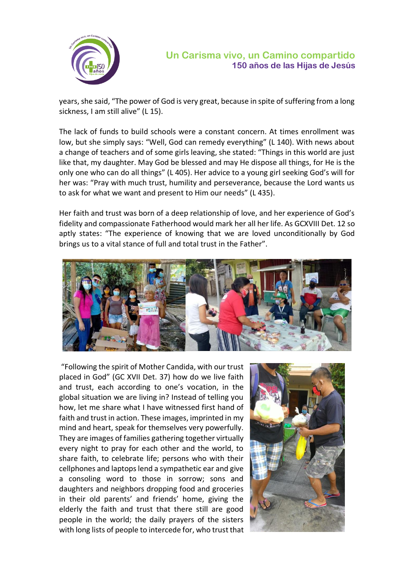

years, she said, "The power of God is very great, because in spite of suffering from a long sickness, I am still alive" (L 15).

The lack of funds to build schools were a constant concern. At times enrollment was low, but she simply says: "Well, God can remedy everything" (L 140). With news about a change of teachers and of some girls leaving, she stated: "Things in this world are just like that, my daughter. May God be blessed and may He dispose all things, for He is the only one who can do all things" (L 405). Her advice to a young girl seeking God's will for her was: "Pray with much trust, humility and perseverance, because the Lord wants us to ask for what we want and present to Him our needs" (L 435).

Her faith and trust was born of a deep relationship of love, and her experience of God's fidelity and compassionate Fatherhood would mark her all her life. As GCXVIII Det. 12 so aptly states: "The experience of knowing that we are loved unconditionally by God brings us to a vital stance of full and total trust in the Father".



"Following the spirit of Mother Candida, with our trust placed in God" (GC XVII Det. 37) how do we live faith and trust, each according to one's vocation, in the global situation we are living in? Instead of telling you how, let me share what I have witnessed first hand of faith and trust in action. These images, imprinted in my mind and heart, speak for themselves very powerfully. They are images of families gathering together virtually every night to pray for each other and the world, to share faith, to celebrate life; persons who with their cellphones and laptops lend a sympathetic ear and give a consoling word to those in sorrow; sons and daughters and neighbors dropping food and groceries in their old parents' and friends' home, giving the elderly the faith and trust that there still are good people in the world; the daily prayers of the sisters with long lists of people to intercede for, who trust that